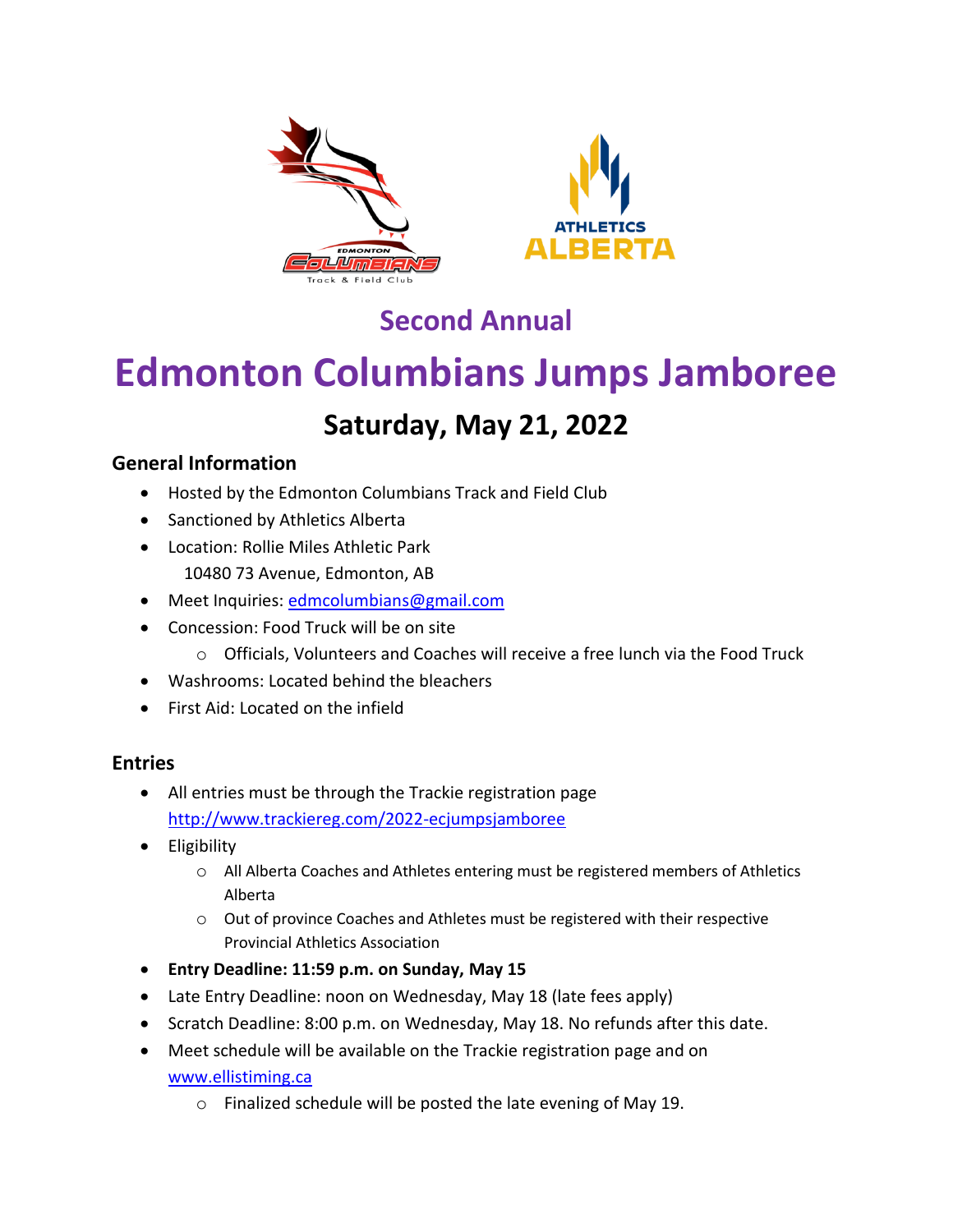



## **Second Annual**

# **Edmonton Columbians Jumps Jamboree**

## **Saturday, May 21, 2022**

#### **General Information**

- Hosted by the Edmonton Columbians Track and Field Club
- Sanctioned by Athletics Alberta
- Location: Rollie Miles Athletic Park 10480 73 Avenue, Edmonton, AB
- Meet Inquiries: [edmcolumbians@gmail.com](mailto:edmcolumbians@gmail.com)
- Concession: Food Truck will be on site
	- o Officials, Volunteers and Coaches will receive a free lunch via the Food Truck
- Washrooms: Located behind the bleachers
- First Aid: Located on the infield

#### **Entries**

- All entries must be through the Trackie registration page <http://www.trackiereg.com/2022-ecjumpsjamboree>
- Eligibility
	- $\circ$  All Alberta Coaches and Athletes entering must be registered members of Athletics Alberta
	- o Out of province Coaches and Athletes must be registered with their respective Provincial Athletics Association
- **Entry Deadline: 11:59 p.m. on Sunday, May 15**
- Late Entry Deadline: noon on Wednesday, May 18 (late fees apply)
- Scratch Deadline: 8:00 p.m. on Wednesday, May 18. No refunds after this date.
- Meet schedule will be available on the Trackie registration page and on [www.ellistiming.ca](http://www.ellistiming.ca/)
	- o Finalized schedule will be posted the late evening of May 19.